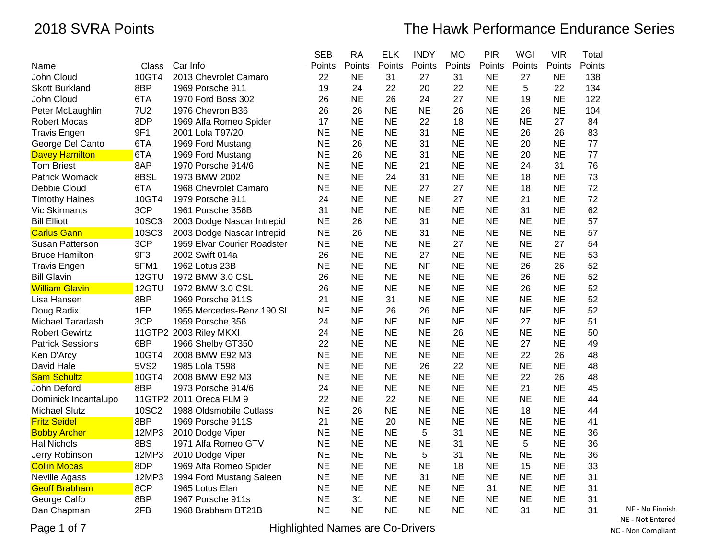|                         |            |                             | <b>SEB</b> | <b>RA</b> | <b>ELK</b> | <b>INDY</b> | <b>MO</b> | <b>PIR</b> | <b>WGI</b> | <b>VIR</b> | Total  |
|-------------------------|------------|-----------------------------|------------|-----------|------------|-------------|-----------|------------|------------|------------|--------|
| Name                    | Class      | Car Info                    | Points     | Points    | Points     | Points      | Points    | Points     | Points     | Points     | Points |
| John Cloud              | 10GT4      | 2013 Chevrolet Camaro       | 22         | <b>NE</b> | 31         | 27          | 31        | <b>NE</b>  | 27         | <b>NE</b>  | 138    |
| <b>Skott Burkland</b>   | 8BP        | 1969 Porsche 911            | 19         | 24        | 22         | 20          | 22        | <b>NE</b>  | 5          | 22         | 134    |
| John Cloud              | 6TA        | 1970 Ford Boss 302          | 26         | <b>NE</b> | 26         | 24          | 27        | <b>NE</b>  | 19         | <b>NE</b>  | 122    |
| Peter McLaughlin        | <b>7U2</b> | 1976 Chevron B36            | 26         | 26        | <b>NE</b>  | <b>NE</b>   | 26        | <b>NE</b>  | 26         | <b>NE</b>  | 104    |
| <b>Robert Mocas</b>     | 8DP        | 1969 Alfa Romeo Spider      | 17         | <b>NE</b> | <b>NE</b>  | 22          | 18        | <b>NE</b>  | <b>NE</b>  | 27         | 84     |
| <b>Travis Engen</b>     | 9F1        | 2001 Lola T97/20            | <b>NE</b>  | <b>NE</b> | NE         | 31          | NE        | <b>NE</b>  | 26         | 26         | 83     |
| George Del Canto        | 6TA        | 1969 Ford Mustang           | <b>NE</b>  | 26        | <b>NE</b>  | 31          | <b>NE</b> | <b>NE</b>  | 20         | <b>NE</b>  | 77     |
| <b>Davey Hamilton</b>   | 6TA        | 1969 Ford Mustang           | <b>NE</b>  | 26        | <b>NE</b>  | 31          | <b>NE</b> | <b>NE</b>  | 20         | <b>NE</b>  | 77     |
| <b>Tom Briest</b>       | 8AP        | 1970 Porsche 914/6          | <b>NE</b>  | <b>NE</b> | <b>NE</b>  | 21          | <b>NE</b> | <b>NE</b>  | 24         | 31         | 76     |
| Patrick Womack          | 8BSL       | 1973 BMW 2002               | NE         | <b>NE</b> | 24         | 31          | <b>NE</b> | <b>NE</b>  | 18         | <b>NE</b>  | 73     |
| Debbie Cloud            | 6TA        | 1968 Chevrolet Camaro       | <b>NE</b>  | <b>NE</b> | <b>NE</b>  | 27          | 27        | <b>NE</b>  | 18         | <b>NE</b>  | 72     |
| <b>Timothy Haines</b>   | 10GT4      | 1979 Porsche 911            | 24         | <b>NE</b> | <b>NE</b>  | <b>NE</b>   | 27        | <b>NE</b>  | 21         | <b>NE</b>  | 72     |
| <b>Vic Skirmants</b>    | 3CP        | 1961 Porsche 356B           | 31         | <b>NE</b> | <b>NE</b>  | <b>NE</b>   | <b>NE</b> | <b>NE</b>  | 31         | <b>NE</b>  | 62     |
| <b>Bill Elliott</b>     | 10SC3      | 2003 Dodge Nascar Intrepid  | NE         | 26        | <b>NE</b>  | 31          | <b>NE</b> | <b>NE</b>  | <b>NE</b>  | NE         | 57     |
| <b>Carlus Gann</b>      | 10SC3      | 2003 Dodge Nascar Intrepid  | <b>NE</b>  | 26        | <b>NE</b>  | 31          | <b>NE</b> | <b>NE</b>  | <b>NE</b>  | <b>NE</b>  | 57     |
| Susan Patterson         | 3CP        | 1959 Elvar Courier Roadster | <b>NE</b>  | <b>NE</b> | <b>NE</b>  | <b>NE</b>   | 27        | <b>NE</b>  | <b>NE</b>  | 27         | 54     |
| <b>Bruce Hamilton</b>   | 9F3        | 2002 Swift 014a             | 26         | <b>NE</b> | <b>NE</b>  | 27          | <b>NE</b> | <b>NE</b>  | <b>NE</b>  | <b>NE</b>  | 53     |
| <b>Travis Engen</b>     | 5FM1       | 1962 Lotus 23B              | <b>NE</b>  | <b>NE</b> | <b>NE</b>  | <b>NF</b>   | <b>NE</b> | <b>NE</b>  | 26         | 26         | 52     |
| <b>Bill Glavin</b>      | 12GTU      | 1972 BMW 3.0 CSL            | 26         | <b>NE</b> | <b>NE</b>  | <b>NE</b>   | <b>NE</b> | <b>NE</b>  | 26         | <b>NE</b>  | 52     |
| <b>William Glavin</b>   | 12GTU      | 1972 BMW 3.0 CSL            | 26         | <b>NE</b> | <b>NE</b>  | <b>NE</b>   | <b>NE</b> | <b>NE</b>  | 26         | <b>NE</b>  | 52     |
| Lisa Hansen             | 8BP        | 1969 Porsche 911S           | 21         | <b>NE</b> | 31         | <b>NE</b>   | <b>NE</b> | <b>NE</b>  | <b>NE</b>  | <b>NE</b>  | 52     |
| Doug Radix              | 1FP        | 1955 Mercedes-Benz 190 SL   | <b>NE</b>  | <b>NE</b> | 26         | 26          | <b>NE</b> | <b>NE</b>  | <b>NE</b>  | <b>NE</b>  | 52     |
| Michael Taradash        | 3CP        | 1959 Porsche 356            | 24         | <b>NE</b> | <b>NE</b>  | <b>NE</b>   | <b>NE</b> | <b>NE</b>  | 27         | <b>NE</b>  | 51     |
| <b>Robert Gewirtz</b>   |            | 11GTP2 2003 Riley MKXI      | 24         | <b>NE</b> | <b>NE</b>  | <b>NE</b>   | 26        | <b>NE</b>  | <b>NE</b>  | <b>NE</b>  | 50     |
| <b>Patrick Sessions</b> | 6BP        | 1966 Shelby GT350           | 22         | <b>NE</b> | <b>NE</b>  | <b>NE</b>   | <b>NE</b> | <b>NE</b>  | 27         | <b>NE</b>  | 49     |
| Ken D'Arcy              | 10GT4      | 2008 BMW E92 M3             | <b>NE</b>  | <b>NE</b> | <b>NE</b>  | <b>NE</b>   | <b>NE</b> | <b>NE</b>  | 22         | 26         | 48     |
| David Hale              | 5VS2       | 1985 Lola T598              | <b>NE</b>  | <b>NE</b> | <b>NE</b>  | 26          | 22        | <b>NE</b>  | <b>NE</b>  | <b>NE</b>  | 48     |
| <b>Sam Schultz</b>      | 10GT4      | 2008 BMW E92 M3             | <b>NE</b>  | <b>NE</b> | <b>NE</b>  | <b>NE</b>   | <b>NE</b> | <b>NE</b>  | 22         | 26         | 48     |
| John Deford             | 8BP        | 1973 Porsche 914/6          | 24         | <b>NE</b> | <b>NE</b>  | <b>NE</b>   | <b>NE</b> | <b>NE</b>  | 21         | <b>NE</b>  | 45     |
| Dominick Incantalupo    |            | 11GTP2 2011 Oreca FLM 9     | 22         | <b>NE</b> | 22         | <b>NE</b>   | <b>NE</b> | <b>NE</b>  | <b>NE</b>  | <b>NE</b>  | 44     |
| <b>Michael Slutz</b>    | 10SC2      | 1988 Oldsmobile Cutlass     | <b>NE</b>  | 26        | <b>NE</b>  | <b>NE</b>   | <b>NE</b> | <b>NE</b>  | 18         | <b>NE</b>  | 44     |
| <b>Fritz Seidel</b>     | 8BP        | 1969 Porsche 911S           | 21         | <b>NE</b> | 20         | <b>NE</b>   | <b>NE</b> | <b>NE</b>  | <b>NE</b>  | <b>NE</b>  | 41     |
| <b>Bobby Archer</b>     | 12MP3      | 2010 Dodge Viper            | <b>NE</b>  | <b>NE</b> | <b>NE</b>  | 5           | 31        | <b>NE</b>  | <b>NE</b>  | <b>NE</b>  | 36     |
| <b>Hal Nichols</b>      | 8BS        | 1971 Alfa Romeo GTV         | <b>NE</b>  | <b>NE</b> | <b>NE</b>  | <b>NE</b>   | 31        | <b>NE</b>  | 5          | <b>NE</b>  | 36     |
| Jerry Robinson          | 12MP3      | 2010 Dodge Viper            | <b>NE</b>  | <b>NE</b> | <b>NE</b>  | 5           | 31        | <b>NE</b>  | <b>NE</b>  | <b>NE</b>  | 36     |
| <b>Collin Mocas</b>     | 8DP        | 1969 Alfa Romeo Spider      | <b>NE</b>  | <b>NE</b> | <b>NE</b>  | <b>NE</b>   | 18        | <b>NE</b>  | 15         | <b>NE</b>  | 33     |
| Neville Agass           | 12MP3      | 1994 Ford Mustang Saleen    | <b>NE</b>  | <b>NE</b> | <b>NE</b>  | 31          | <b>NE</b> | <b>NE</b>  | <b>NE</b>  | <b>NE</b>  | 31     |
| <b>Geoff Brabham</b>    | 8CP        | 1965 Lotus Elan             | <b>NE</b>  | <b>NE</b> | <b>NE</b>  | <b>NE</b>   | <b>NE</b> | 31         | <b>NE</b>  | <b>NE</b>  | 31     |
| George Calfo            | 8BP        | 1967 Porsche 911s           | <b>NE</b>  | 31        | <b>NE</b>  | <b>NE</b>   | <b>NE</b> | <b>NE</b>  | <b>NE</b>  | <b>NE</b>  | 31     |
| Dan Chapman             | 2FB        | 1968 Brabham BT21B          | NE         | <b>NE</b> | <b>NE</b>  | <b>NE</b>   | <b>NE</b> | <b>NE</b>  | 31         | <b>NE</b>  | 31     |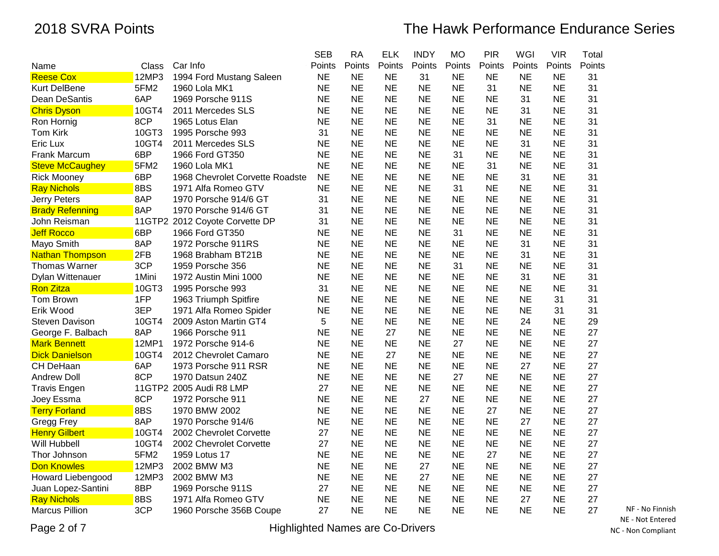|                        |        |                                 | <b>SEB</b> | <b>RA</b> | <b>ELK</b> | <b>INDY</b> | <b>MO</b> | <b>PIR</b> | WGI       | <b>VIR</b> | Total  |
|------------------------|--------|---------------------------------|------------|-----------|------------|-------------|-----------|------------|-----------|------------|--------|
| Name                   | Class  | Car Info                        | Points     | Points    | Points     | Points      | Points    | Points     | Points    | Points     | Points |
| <b>Reese Cox</b>       | 12MP3  | 1994 Ford Mustang Saleen        | <b>NE</b>  | <b>NE</b> | <b>NE</b>  | 31          | <b>NE</b> | <b>NE</b>  | ΝE        | <b>NE</b>  | 31     |
| <b>Kurt DelBene</b>    | 5FM2   | 1960 Lola MK1                   | <b>NE</b>  | <b>NE</b> | NE         | <b>NE</b>   | <b>NE</b> | 31         | <b>NE</b> | <b>NE</b>  | 31     |
| Dean DeSantis          | 6AP    | 1969 Porsche 911S               | <b>NE</b>  | <b>NE</b> | <b>NE</b>  | <b>NE</b>   | <b>NE</b> | <b>NE</b>  | 31        | <b>NE</b>  | 31     |
| <b>Chris Dyson</b>     | 10GT4  | 2011 Mercedes SLS               | <b>NE</b>  | <b>NE</b> | <b>NE</b>  | <b>NE</b>   | <b>NE</b> | <b>NE</b>  | 31        | <b>NE</b>  | 31     |
| Ron Hornig             | 8CP    | 1965 Lotus Elan                 | <b>NE</b>  | <b>NE</b> | <b>NE</b>  | <b>NE</b>   | <b>NE</b> | 31         | <b>NE</b> | <b>NE</b>  | 31     |
| <b>Tom Kirk</b>        | 10GT3  | 1995 Porsche 993                | 31         | <b>NE</b> | <b>NE</b>  | <b>NE</b>   | <b>NE</b> | <b>NE</b>  | <b>NE</b> | <b>NE</b>  | 31     |
| Eric Lux               | 10GT4  | 2011 Mercedes SLS               | <b>NE</b>  | <b>NE</b> | <b>NE</b>  | <b>NE</b>   | <b>NE</b> | <b>NE</b>  | 31        | <b>NE</b>  | 31     |
| <b>Frank Marcum</b>    | 6BP    | 1966 Ford GT350                 | <b>NE</b>  | <b>NE</b> | <b>NE</b>  | <b>NE</b>   | 31        | <b>NE</b>  | <b>NE</b> | <b>NE</b>  | 31     |
| <b>Steve McCaughey</b> | 5FM2   | 1960 Lola MK1                   | <b>NE</b>  | <b>NE</b> | <b>NE</b>  | <b>NE</b>   | <b>NE</b> | 31         | <b>NE</b> | <b>NE</b>  | 31     |
| <b>Rick Mooney</b>     | 6BP    | 1968 Chevrolet Corvette Roadste | <b>NE</b>  | <b>NE</b> | <b>NE</b>  | <b>NE</b>   | <b>NE</b> | <b>NE</b>  | 31        | <b>NE</b>  | 31     |
| <b>Ray Nichols</b>     | 8BS    | 1971 Alfa Romeo GTV             | <b>NE</b>  | <b>NE</b> | <b>NE</b>  | <b>NE</b>   | 31        | <b>NE</b>  | <b>NE</b> | <b>NE</b>  | 31     |
| Jerry Peters           | 8AP    | 1970 Porsche 914/6 GT           | 31         | <b>NE</b> | <b>NE</b>  | <b>NE</b>   | <b>NE</b> | <b>NE</b>  | <b>NE</b> | <b>NE</b>  | 31     |
| <b>Brady Refenning</b> | 8AP    | 1970 Porsche 914/6 GT           | 31         | <b>NE</b> | <b>NE</b>  | <b>NE</b>   | <b>NE</b> | <b>NE</b>  | <b>NE</b> | <b>NE</b>  | 31     |
| John Reisman           |        | 11GTP2 2012 Coyote Corvette DP  | 31         | <b>NE</b> | <b>NE</b>  | <b>NE</b>   | <b>NE</b> | <b>NE</b>  | <b>NE</b> | <b>NE</b>  | 31     |
| <b>Jeff Rocco</b>      | 6BP    | 1966 Ford GT350                 | <b>NE</b>  | <b>NE</b> | <b>NE</b>  | <b>NE</b>   | 31        | <b>NE</b>  | <b>NE</b> | <b>NE</b>  | 31     |
| Mayo Smith             | 8AP    | 1972 Porsche 911RS              | <b>NE</b>  | <b>NE</b> | NE         | <b>NE</b>   | <b>NE</b> | <b>NE</b>  | 31        | <b>NE</b>  | 31     |
| <b>Nathan Thompson</b> | 2FB    | 1968 Brabham BT21B              | <b>NE</b>  | <b>NE</b> | <b>NE</b>  | <b>NE</b>   | <b>NE</b> | <b>NE</b>  | 31        | <b>NE</b>  | 31     |
| Thomas Warner          | 3CP    | 1959 Porsche 356                | <b>NE</b>  | <b>NE</b> | <b>NE</b>  | <b>NE</b>   | 31        | <b>NE</b>  | <b>NE</b> | <b>NE</b>  | 31     |
| Dylan Wittenauer       | 1 Mini | 1972 Austin Mini 1000           | <b>NE</b>  | <b>NE</b> | <b>NE</b>  | <b>NE</b>   | <b>NE</b> | <b>NE</b>  | 31        | <b>NE</b>  | 31     |
| <b>Ron Zitza</b>       | 10GT3  | 1995 Porsche 993                | 31         | <b>NE</b> | <b>NE</b>  | <b>NE</b>   | <b>NE</b> | <b>NE</b>  | <b>NE</b> | <b>NE</b>  | 31     |
| Tom Brown              | 1FP    | 1963 Triumph Spitfire           | <b>NE</b>  | <b>NE</b> | <b>NE</b>  | <b>NE</b>   | <b>NE</b> | <b>NE</b>  | <b>NE</b> | 31         | 31     |
| Erik Wood              | 3EP    | 1971 Alfa Romeo Spider          | <b>NE</b>  | <b>NE</b> | <b>NE</b>  | <b>NE</b>   | <b>NE</b> | <b>NE</b>  | <b>NE</b> | 31         | 31     |
| Steven Davison         | 10GT4  | 2009 Aston Martin GT4           | 5          | <b>NE</b> | <b>NE</b>  | <b>NE</b>   | <b>NE</b> | <b>NE</b>  | 24        | <b>NE</b>  | 29     |
| George F. Balbach      | 8AP    | 1966 Porsche 911                | <b>NE</b>  | <b>NE</b> | 27         | <b>NE</b>   | <b>NE</b> | <b>NE</b>  | <b>NE</b> | <b>NE</b>  | 27     |
| <b>Mark Bennett</b>    | 12MP1  | 1972 Porsche 914-6              | <b>NE</b>  | <b>NE</b> | <b>NE</b>  | <b>NE</b>   | 27        | <b>NE</b>  | <b>NE</b> | <b>NE</b>  | 27     |
| <b>Dick Danielson</b>  | 10GT4  | 2012 Chevrolet Camaro           | <b>NE</b>  | <b>NE</b> | 27         | <b>NE</b>   | <b>NE</b> | <b>NE</b>  | <b>NE</b> | <b>NE</b>  | 27     |
| CH DeHaan              | 6AP    | 1973 Porsche 911 RSR            | <b>NE</b>  | <b>NE</b> | <b>NE</b>  | <b>NE</b>   | <b>NE</b> | <b>NE</b>  | 27        | <b>NE</b>  | 27     |
| <b>Andrew Doll</b>     | 8CP    | 1970 Datsun 240Z                | <b>NE</b>  | <b>NE</b> | <b>NE</b>  | <b>NE</b>   | 27        | <b>NE</b>  | <b>NE</b> | <b>NE</b>  | 27     |
| <b>Travis Engen</b>    |        | 11GTP2 2005 Audi R8 LMP         | 27         | <b>NE</b> | <b>NE</b>  | <b>NE</b>   | <b>NE</b> | <b>NE</b>  | <b>NE</b> | <b>NE</b>  | 27     |
| Joey Essma             | 8CP    | 1972 Porsche 911                | <b>NE</b>  | <b>NE</b> | <b>NE</b>  | 27          | <b>NE</b> | <b>NE</b>  | <b>NE</b> | <b>NE</b>  | 27     |
| <b>Terry Forland</b>   | 8BS    | 1970 BMW 2002                   | <b>NE</b>  | <b>NE</b> | <b>NE</b>  | <b>NE</b>   | <b>NE</b> | 27         | <b>NE</b> | <b>NE</b>  | 27     |
| Gregg Frey             | 8AP    | 1970 Porsche 914/6              | <b>NE</b>  | <b>NE</b> | <b>NE</b>  | <b>NE</b>   | <b>NE</b> | <b>NE</b>  | 27        | <b>NE</b>  | 27     |
| <b>Henry Gilbert</b>   | 10GT4  | 2002 Chevrolet Corvette         | 27         | <b>NE</b> | NE         | <b>NE</b>   | <b>NE</b> | <b>NE</b>  | <b>NE</b> | <b>NE</b>  | 27     |
| Will Hubbell           | 10GT4  | 2002 Chevrolet Corvette         | 27         | <b>NE</b> | NE         | <b>NE</b>   | <b>NE</b> | <b>NE</b>  | <b>NE</b> | <b>NE</b>  | 27     |
| Thor Johnson           | 5FM2   | 1959 Lotus 17                   | <b>NE</b>  | <b>NE</b> | <b>NE</b>  | <b>NE</b>   | <b>NE</b> | 27         | <b>NE</b> | <b>NE</b>  | 27     |
| <b>Don Knowles</b>     | 12MP3  | 2002 BMW M3                     | <b>NE</b>  | <b>NE</b> | <b>NE</b>  | 27          | <b>NE</b> | <b>NE</b>  | <b>NE</b> | <b>NE</b>  | 27     |
| Howard Liebengood      | 12MP3  | 2002 BMW M3                     | <b>NE</b>  | <b>NE</b> | <b>NE</b>  | 27          | <b>NE</b> | <b>NE</b>  | <b>NE</b> | <b>NE</b>  | 27     |
| Juan Lopez-Santini     | 8BP    | 1969 Porsche 911S               | 27         | <b>NE</b> | <b>NE</b>  | <b>NE</b>   | <b>NE</b> | <b>NE</b>  | <b>NE</b> | <b>NE</b>  | 27     |
| <b>Ray Nichols</b>     | 8BS    | 1971 Alfa Romeo GTV             | <b>NE</b>  | <b>NE</b> | <b>NE</b>  | <b>NE</b>   | <b>NE</b> | <b>NE</b>  | 27        | <b>NE</b>  | 27     |
| <b>Marcus Pillion</b>  | 3CP    | 1960 Porsche 356B Coupe         | 27         | <b>NE</b> | <b>NE</b>  | <b>NE</b>   | <b>NE</b> | <b>NE</b>  | <b>NE</b> | <b>NE</b>  | 27     |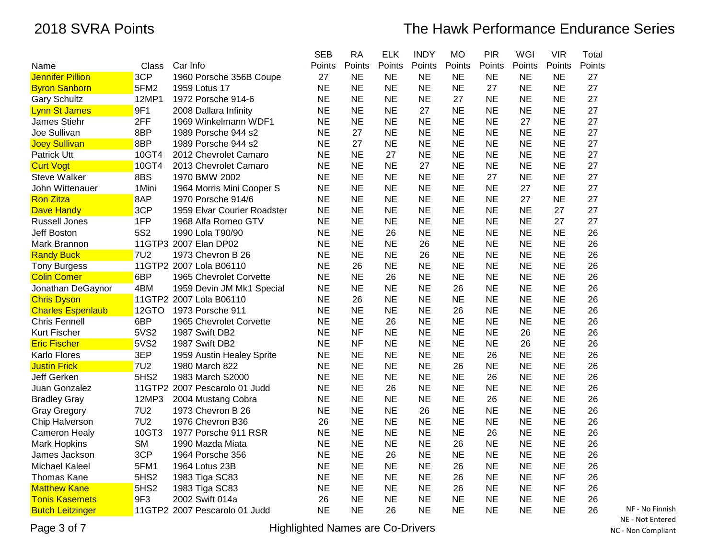|                          |                  |                               | <b>SEB</b> | <b>RA</b> | <b>ELK</b> | <b>INDY</b> | <b>MO</b> | <b>PIR</b> | WGI       | <b>VIR</b> | Total  |
|--------------------------|------------------|-------------------------------|------------|-----------|------------|-------------|-----------|------------|-----------|------------|--------|
| Name                     | Class            | Car Info                      | Points     | Points    | Points     | Points      | Points    | Points     | Points    | Points     | Points |
| <b>Jennifer Pillion</b>  | 3CP              | 1960 Porsche 356B Coupe       | 27         | <b>NE</b> | <b>NE</b>  | <b>NE</b>   | <b>NE</b> | <b>NE</b>  | <b>NE</b> | <b>NE</b>  | 27     |
| <b>Byron Sanborn</b>     | 5FM2             | 1959 Lotus 17                 | <b>NE</b>  | <b>NE</b> | <b>NE</b>  | <b>NE</b>   | <b>NE</b> | 27         | <b>NE</b> | <b>NE</b>  | 27     |
| <b>Gary Schultz</b>      | 12MP1            | 1972 Porsche 914-6            | <b>NE</b>  | <b>NE</b> | <b>NE</b>  | <b>NE</b>   | 27        | <b>NE</b>  | <b>NE</b> | <b>NE</b>  | 27     |
| <b>Lynn St James</b>     | 9F1              | 2008 Dallara Infinity         | <b>NE</b>  | <b>NE</b> | <b>NE</b>  | 27          | <b>NE</b> | <b>NE</b>  | <b>NE</b> | <b>NE</b>  | 27     |
| James Stiehr             | 2FF              | 1969 Winkelmann WDF1          | <b>NE</b>  | <b>NE</b> | <b>NE</b>  | <b>NE</b>   | <b>NE</b> | <b>NE</b>  | 27        | <b>NE</b>  | 27     |
| Joe Sullivan             | 8BP              | 1989 Porsche 944 s2           | <b>NE</b>  | 27        | <b>NE</b>  | <b>NE</b>   | <b>NE</b> | <b>NE</b>  | <b>NE</b> | <b>NE</b>  | 27     |
| <b>Joey Sullivan</b>     | 8BP              | 1989 Porsche 944 s2           | <b>NE</b>  | 27        | <b>NE</b>  | <b>NE</b>   | <b>NE</b> | <b>NE</b>  | <b>NE</b> | <b>NE</b>  | 27     |
| Patrick Utt              | 10GT4            | 2012 Chevrolet Camaro         | <b>NE</b>  | <b>NE</b> | 27         | <b>NE</b>   | <b>NE</b> | <b>NE</b>  | <b>NE</b> | <b>NE</b>  | 27     |
| <b>Curt Vogt</b>         | 10GT4            | 2013 Chevrolet Camaro         | <b>NE</b>  | <b>NE</b> | <b>NE</b>  | 27          | <b>NE</b> | <b>NE</b>  | <b>NE</b> | <b>NE</b>  | 27     |
| <b>Steve Walker</b>      | 8BS              | 1970 BMW 2002                 | <b>NE</b>  | <b>NE</b> | <b>NE</b>  | <b>NE</b>   | <b>NE</b> | 27         | <b>NE</b> | <b>NE</b>  | 27     |
| John Wittenauer          | 1Mini            | 1964 Morris Mini Cooper S     | <b>NE</b>  | <b>NE</b> | <b>NE</b>  | <b>NE</b>   | <b>NE</b> | <b>NE</b>  | 27        | <b>NE</b>  | 27     |
| <b>Ron Zitza</b>         | 8AP              | 1970 Porsche 914/6            | <b>NE</b>  | <b>NE</b> | <b>NE</b>  | <b>NE</b>   | <b>NE</b> | <b>NE</b>  | 27        | <b>NE</b>  | 27     |
| <b>Dave Handy</b>        | 3CP              | 1959 Elvar Courier Roadster   | <b>NE</b>  | <b>NE</b> | <b>NE</b>  | <b>NE</b>   | <b>NE</b> | <b>NE</b>  | <b>NE</b> | 27         | 27     |
| Russell Jones            | 1FP              | 1968 Alfa Romeo GTV           | <b>NE</b>  | <b>NE</b> | <b>NE</b>  | <b>NE</b>   | <b>NE</b> | <b>NE</b>  | <b>NE</b> | 27         | 27     |
| Jeff Boston              | 5S <sub>2</sub>  | 1990 Lola T90/90              | <b>NE</b>  | <b>NE</b> | 26         | <b>NE</b>   | <b>NE</b> | <b>NE</b>  | <b>NE</b> | <b>NE</b>  | 26     |
| Mark Brannon             |                  | 11GTP3 2007 Elan DP02         | <b>NE</b>  | <b>NE</b> | <b>NE</b>  | 26          | <b>NE</b> | <b>NE</b>  | <b>NE</b> | <b>NE</b>  | 26     |
| <b>Randy Buck</b>        | <b>7U2</b>       | 1973 Chevron B 26             | <b>NE</b>  | <b>NE</b> | <b>NE</b>  | 26          | <b>NE</b> | <b>NE</b>  | <b>NE</b> | <b>NE</b>  | 26     |
| <b>Tony Burgess</b>      |                  | 11GTP2 2007 Lola B06110       | <b>NE</b>  | 26        | <b>NE</b>  | <b>NE</b>   | <b>NE</b> | <b>NE</b>  | <b>NE</b> | <b>NE</b>  | 26     |
| <b>Colin Comer</b>       | 6BP              | 1965 Chevrolet Corvette       | <b>NE</b>  | <b>NE</b> | 26         | <b>NE</b>   | <b>NE</b> | <b>NE</b>  | <b>NE</b> | <b>NE</b>  | 26     |
| Jonathan DeGaynor        | 4BM              | 1959 Devin JM Mk1 Special     | <b>NE</b>  | <b>NE</b> | <b>NE</b>  | <b>NE</b>   | 26        | <b>NE</b>  | <b>NE</b> | <b>NE</b>  | 26     |
| <b>Chris Dyson</b>       |                  | 11GTP2 2007 Lola B06110       | <b>NE</b>  | 26        | <b>NE</b>  | <b>NE</b>   | <b>NE</b> | <b>NE</b>  | <b>NE</b> | <b>NE</b>  | 26     |
| <b>Charles Espenlaub</b> | 12GTO            | 1973 Porsche 911              | <b>NE</b>  | <b>NE</b> | <b>NE</b>  | <b>NE</b>   | 26        | <b>NE</b>  | <b>NE</b> | <b>NE</b>  | 26     |
| <b>Chris Fennell</b>     | 6BP              | 1965 Chevrolet Corvette       | <b>NE</b>  | <b>NE</b> | 26         | <b>NE</b>   | <b>NE</b> | <b>NE</b>  | <b>NE</b> | <b>NE</b>  | 26     |
| <b>Kurt Fischer</b>      | 5VS2             | 1987 Swift DB2                | <b>NE</b>  | <b>NF</b> | <b>NE</b>  | <b>NE</b>   | <b>NE</b> | <b>NE</b>  | 26        | <b>NE</b>  | 26     |
| <b>Eric Fischer</b>      | 5VS2             | 1987 Swift DB2                | <b>NE</b>  | <b>NF</b> | <b>NE</b>  | <b>NE</b>   | <b>NE</b> | <b>NE</b>  | 26        | <b>NE</b>  | 26     |
| Karlo Flores             | 3EP              | 1959 Austin Healey Sprite     | <b>NE</b>  | <b>NE</b> | <b>NE</b>  | <b>NE</b>   | <b>NE</b> | 26         | <b>NE</b> | <b>NE</b>  | 26     |
| <b>Justin Frick</b>      | <b>7U2</b>       | 1980 March 822                | <b>NE</b>  | <b>NE</b> | <b>NE</b>  | <b>NE</b>   | 26        | <b>NE</b>  | <b>NE</b> | <b>NE</b>  | 26     |
| Jeff Gerken              | 5HS <sub>2</sub> | 1983 March S2000              | <b>NE</b>  | <b>NE</b> | <b>NE</b>  | <b>NE</b>   | <b>NE</b> | 26         | <b>NE</b> | <b>NE</b>  | 26     |
| Juan Gonzalez            |                  | 11GTP2 2007 Pescarolo 01 Judd | <b>NE</b>  | <b>NE</b> | 26         | <b>NE</b>   | <b>NE</b> | <b>NE</b>  | <b>NE</b> | <b>NE</b>  | 26     |
| <b>Bradley Gray</b>      | 12MP3            | 2004 Mustang Cobra            | <b>NE</b>  | <b>NE</b> | <b>NE</b>  | <b>NE</b>   | <b>NE</b> | 26         | <b>NE</b> | <b>NE</b>  | 26     |
| <b>Gray Gregory</b>      | <b>7U2</b>       | 1973 Chevron B 26             | <b>NE</b>  | <b>NE</b> | <b>NE</b>  | 26          | <b>NE</b> | <b>NE</b>  | <b>NE</b> | <b>NE</b>  | 26     |
| Chip Halverson           | <b>7U2</b>       | 1976 Chevron B36              | 26         | <b>NE</b> | <b>NE</b>  | <b>NE</b>   | <b>NE</b> | <b>NE</b>  | <b>NE</b> | <b>NE</b>  | 26     |
| <b>Cameron Healy</b>     | 10GT3            | 1977 Porsche 911 RSR          | <b>NE</b>  | <b>NE</b> | <b>NE</b>  | <b>NE</b>   | <b>NE</b> | 26         | <b>NE</b> | <b>NE</b>  | 26     |
| <b>Mark Hopkins</b>      | <b>SM</b>        | 1990 Mazda Miata              | <b>NE</b>  | <b>NE</b> | <b>NE</b>  | <b>NE</b>   | 26        | <b>NE</b>  | <b>NE</b> | <b>NE</b>  | 26     |
| James Jackson            | 3CP              | 1964 Porsche 356              | <b>NE</b>  | <b>NE</b> | 26         | <b>NE</b>   | <b>NE</b> | <b>NE</b>  | <b>NE</b> | <b>NE</b>  | 26     |
| <b>Michael Kaleel</b>    | 5FM1             | 1964 Lotus 23B                | <b>NE</b>  | <b>NE</b> | <b>NE</b>  | <b>NE</b>   | 26        | <b>NE</b>  | <b>NE</b> | <b>NE</b>  | 26     |
| <b>Thomas Kane</b>       | 5HS <sub>2</sub> | 1983 Tiga SC83                | <b>NE</b>  | <b>NE</b> | <b>NE</b>  | <b>NE</b>   | 26        | <b>NE</b>  | <b>NE</b> | <b>NF</b>  | 26     |
| <b>Matthew Kane</b>      | 5HS2             | 1983 Tiga SC83                | <b>NE</b>  | <b>NE</b> | <b>NE</b>  | <b>NE</b>   | 26        | <b>NE</b>  | <b>NE</b> | <b>NF</b>  | 26     |
| <b>Tonis Kasemets</b>    | 9F3              | 2002 Swift 014a               | 26         | <b>NE</b> | <b>NE</b>  | <b>NE</b>   | <b>NE</b> | <b>NE</b>  | <b>NE</b> | <b>NE</b>  | 26     |
| <b>Butch Leitzinger</b>  |                  | 11GTP2 2007 Pescarolo 01 Judd | <b>NE</b>  | <b>NE</b> | 26         | <b>NE</b>   | <b>NE</b> | <b>NE</b>  | <b>NE</b> | <b>NE</b>  | 26     |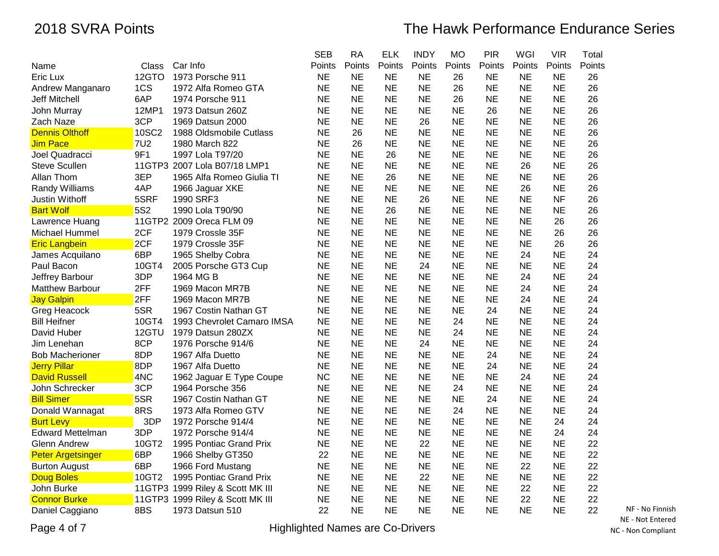|                          |            |                                  | <b>SEB</b> | <b>RA</b> | <b>ELK</b> | <b>INDY</b> | <b>MO</b> | <b>PIR</b> | WGI       | <b>VIR</b> | Total  |
|--------------------------|------------|----------------------------------|------------|-----------|------------|-------------|-----------|------------|-----------|------------|--------|
| Name                     | Class      | Car Info                         | Points     | Points    | Points     | Points      | Points    | Points     | Points    | Points     | Points |
| Eric Lux                 | 12GTO      | 1973 Porsche 911                 | <b>NE</b>  | <b>NE</b> | <b>NE</b>  | <b>NE</b>   | 26        | <b>NE</b>  | <b>NE</b> | <b>NE</b>  | 26     |
| Andrew Manganaro         | 1CS        | 1972 Alfa Romeo GTA              | <b>NE</b>  | <b>NE</b> | <b>NE</b>  | <b>NE</b>   | 26        | <b>NE</b>  | <b>NE</b> | <b>NE</b>  | 26     |
| <b>Jeff Mitchell</b>     | 6AP        | 1974 Porsche 911                 | <b>NE</b>  | <b>NE</b> | <b>NE</b>  | <b>NE</b>   | 26        | <b>NE</b>  | <b>NE</b> | <b>NE</b>  | 26     |
| John Murray              | 12MP1      | 1973 Datsun 260Z                 | <b>NE</b>  | <b>NE</b> | <b>NE</b>  | <b>NE</b>   | <b>NE</b> | 26         | <b>NE</b> | <b>NE</b>  | 26     |
| Zach Naze                | 3CP        | 1969 Datsun 2000                 | <b>NE</b>  | <b>NE</b> | <b>NE</b>  | 26          | <b>NE</b> | <b>NE</b>  | <b>NE</b> | <b>NE</b>  | 26     |
| <b>Dennis Olthoff</b>    | 10SC2      | 1988 Oldsmobile Cutlass          | <b>NE</b>  | 26        | <b>NE</b>  | <b>NE</b>   | <b>NE</b> | NE         | <b>NE</b> | <b>NE</b>  | 26     |
| <b>Jim Pace</b>          | <b>7U2</b> | 1980 March 822                   | <b>NE</b>  | 26        | <b>NE</b>  | <b>NE</b>   | <b>NE</b> | <b>NE</b>  | <b>NE</b> | <b>NE</b>  | 26     |
| Joel Quadracci           | 9F1        | 1997 Lola T97/20                 | <b>NE</b>  | <b>NE</b> | 26         | <b>NE</b>   | <b>NE</b> | <b>NE</b>  | <b>NE</b> | <b>NE</b>  | 26     |
| <b>Steve Scullen</b>     |            | 11GTP3 2007 Lola B07/18 LMP1     | <b>NE</b>  | <b>NE</b> | <b>NE</b>  | <b>NE</b>   | <b>NE</b> | <b>NE</b>  | 26        | <b>NE</b>  | 26     |
| Allan Thom               | 3EP        | 1965 Alfa Romeo Giulia TI        | <b>NE</b>  | <b>NE</b> | 26         | <b>NE</b>   | <b>NE</b> | <b>NE</b>  | <b>NE</b> | <b>NE</b>  | 26     |
| <b>Randy Williams</b>    | 4AP        | 1966 Jaguar XKE                  | <b>NE</b>  | <b>NE</b> | <b>NE</b>  | <b>NE</b>   | <b>NE</b> | <b>NE</b>  | 26        | <b>NE</b>  | 26     |
| Justin Withoff           | 5SRF       | 1990 SRF3                        | <b>NE</b>  | <b>NE</b> | <b>NE</b>  | 26          | <b>NE</b> | <b>NE</b>  | <b>NE</b> | <b>NF</b>  | 26     |
| <b>Bart Wolf</b>         | 5S2        | 1990 Lola T90/90                 | <b>NE</b>  | <b>NE</b> | 26         | <b>NE</b>   | <b>NE</b> | <b>NE</b>  | <b>NE</b> | <b>NE</b>  | 26     |
| Lawrence Huang           |            | 11GTP2 2009 Oreca FLM 09         | NE         | <b>NE</b> | <b>NE</b>  | NE.         | <b>NE</b> | <b>NE</b>  | <b>NE</b> | 26         | 26     |
| Michael Hummel           | 2CF        | 1979 Crossle 35F                 | <b>NE</b>  | <b>NE</b> | <b>NE</b>  | <b>NE</b>   | <b>NE</b> | <b>NE</b>  | <b>NE</b> | 26         | 26     |
| <b>Eric Langbein</b>     | 2CF        | 1979 Crossle 35F                 | <b>NE</b>  | <b>NE</b> | <b>NE</b>  | <b>NE</b>   | <b>NE</b> | <b>NE</b>  | <b>NE</b> | 26         | 26     |
| James Acquilano          | 6BP        | 1965 Shelby Cobra                | <b>NE</b>  | <b>NE</b> | <b>NE</b>  | <b>NE</b>   | <b>NE</b> | <b>NE</b>  | 24        | <b>NE</b>  | 24     |
| Paul Bacon               | 10GT4      | 2005 Porsche GT3 Cup             | <b>NE</b>  | <b>NE</b> | <b>NE</b>  | 24          | <b>NE</b> | <b>NE</b>  | <b>NE</b> | <b>NE</b>  | 24     |
| Jeffrey Barbour          | 3DP        | 1964 MG B                        | <b>NE</b>  | <b>NE</b> | <b>NE</b>  | <b>NE</b>   | <b>NE</b> | <b>NE</b>  | 24        | <b>NE</b>  | 24     |
| <b>Matthew Barbour</b>   | 2FF        | 1969 Macon MR7B                  | <b>NE</b>  | <b>NE</b> | <b>NE</b>  | <b>NE</b>   | <b>NE</b> | <b>NE</b>  | 24        | <b>NE</b>  | 24     |
| <b>Jay Galpin</b>        | 2FF        | 1969 Macon MR7B                  | <b>NE</b>  | <b>NE</b> | <b>NE</b>  | <b>NE</b>   | <b>NE</b> | <b>NE</b>  | 24        | <b>NE</b>  | 24     |
| Greg Heacock             | 5SR        | 1967 Costin Nathan GT            | <b>NE</b>  | <b>NE</b> | <b>NE</b>  | <b>NE</b>   | <b>NE</b> | 24         | <b>NE</b> | <b>NE</b>  | 24     |
| <b>Bill Heifner</b>      | 10GT4      | 1993 Chevrolet Camaro IMSA       | <b>NE</b>  | <b>NE</b> | <b>NE</b>  | <b>NE</b>   | 24        | <b>NE</b>  | <b>NE</b> | <b>NE</b>  | 24     |
| David Huber              | 12GTU      | 1979 Datsun 280ZX                | <b>NE</b>  | <b>NE</b> | <b>NE</b>  | <b>NE</b>   | 24        | <b>NE</b>  | <b>NE</b> | <b>NE</b>  | 24     |
| Jim Lenehan              | 8CP        | 1976 Porsche 914/6               | <b>NE</b>  | <b>NE</b> | <b>NE</b>  | 24          | <b>NE</b> | <b>NE</b>  | <b>NE</b> | <b>NE</b>  | 24     |
| <b>Bob Macherioner</b>   | 8DP        | 1967 Alfa Duetto                 | <b>NE</b>  | <b>NE</b> | <b>NE</b>  | <b>NE</b>   | <b>NE</b> | 24         | <b>NE</b> | <b>NE</b>  | 24     |
| <b>Jerry Pillar</b>      | 8DP        | 1967 Alfa Duetto                 | <b>NE</b>  | <b>NE</b> | <b>NE</b>  | <b>NE</b>   | <b>NE</b> | 24         | <b>NE</b> | <b>NE</b>  | 24     |
| <b>David Russell</b>     | 4NC        | 1962 Jaguar E Type Coupe         | <b>NC</b>  | <b>NE</b> | <b>NE</b>  | <b>NE</b>   | <b>NE</b> | ΝE         | 24        | <b>NE</b>  | 24     |
| John Schrecker           | 3CP        | 1964 Porsche 356                 | <b>NE</b>  | <b>NE</b> | <b>NE</b>  | <b>NE</b>   | 24        | <b>NE</b>  | <b>NE</b> | <b>NE</b>  | 24     |
| <b>Bill Simer</b>        | 5SR        | 1967 Costin Nathan GT            | <b>NE</b>  | <b>NE</b> | <b>NE</b>  | <b>NE</b>   | <b>NE</b> | 24         | <b>NE</b> | <b>NE</b>  | 24     |
| Donald Wannagat          | 8RS        | 1973 Alfa Romeo GTV              | <b>NE</b>  | <b>NE</b> | <b>NE</b>  | <b>NE</b>   | 24        | <b>NE</b>  | <b>NE</b> | <b>NE</b>  | 24     |
| <b>Burt Levy</b>         | 3DP        | 1972 Porsche 914/4               | <b>NE</b>  | <b>NE</b> | <b>NE</b>  | <b>NE</b>   | <b>NE</b> | <b>NE</b>  | <b>NE</b> | 24         | 24     |
| <b>Edward Mettelman</b>  | 3DP        | 1972 Porsche 914/4               | <b>NE</b>  | <b>NE</b> | <b>NE</b>  | <b>NE</b>   | <b>NE</b> | <b>NE</b>  | <b>NE</b> | 24         | 24     |
| <b>Glenn Andrew</b>      | 10GT2      | 1995 Pontiac Grand Prix          | <b>NE</b>  | <b>NE</b> | <b>NE</b>  | 22          | <b>NE</b> | <b>NE</b>  | <b>NE</b> | <b>NE</b>  | 22     |
| <b>Peter Argetsinger</b> | 6BP        | 1966 Shelby GT350                | 22         | <b>NE</b> | <b>NE</b>  | <b>NE</b>   | <b>NE</b> | <b>NE</b>  | <b>NE</b> | <b>NE</b>  | 22     |
| <b>Burton August</b>     | 6BP        | 1966 Ford Mustang                | <b>NE</b>  | <b>NE</b> | <b>NE</b>  | <b>NE</b>   | <b>NE</b> | <b>NE</b>  | 22        | <b>NE</b>  | 22     |
| <b>Doug Boles</b>        | 10GT2      | 1995 Pontiac Grand Prix          | <b>NE</b>  | <b>NE</b> | <b>NE</b>  | 22          | <b>NE</b> | <b>NE</b>  | <b>NE</b> | <b>NE</b>  | 22     |
| John Burke               |            | 11GTP3 1999 Riley & Scott MK III | <b>NE</b>  | <b>NE</b> | <b>NE</b>  | <b>NE</b>   | <b>NE</b> | <b>NE</b>  | 22        | <b>NE</b>  | 22     |
| <b>Connor Burke</b>      |            | 11GTP3 1999 Riley & Scott MK III | <b>NE</b>  | <b>NE</b> | <b>NE</b>  | <b>NE</b>   | <b>NE</b> | <b>NE</b>  | 22        | <b>NE</b>  | 22     |
| Daniel Caggiano          | 8BS        | 1973 Datsun 510                  | 22         | <b>NE</b> | <b>NE</b>  | <b>NE</b>   | <b>NE</b> | <b>NE</b>  | <b>NE</b> | <b>NE</b>  | 22     |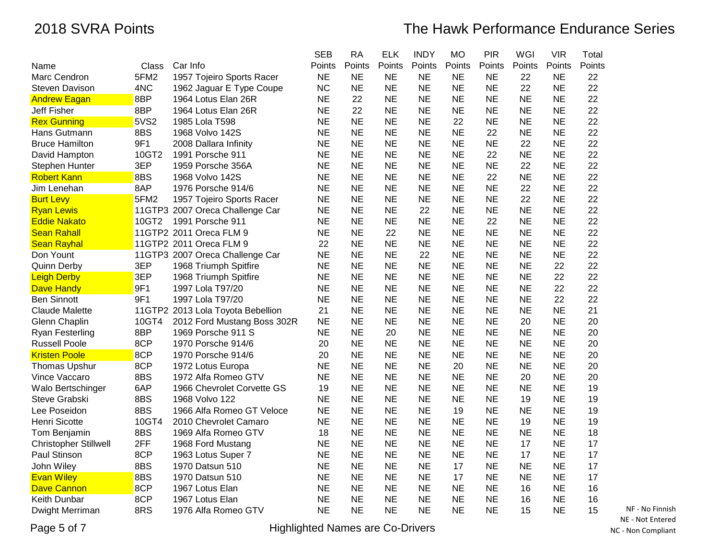|                              |       |                                   | <b>SEB</b> | <b>RA</b> | <b>ELK</b> | <b>INDY</b> | <b>MO</b> | <b>PIR</b> | WGI       | <b>VIR</b> | Total  |
|------------------------------|-------|-----------------------------------|------------|-----------|------------|-------------|-----------|------------|-----------|------------|--------|
| Name                         | Class | Car Info                          | Points     | Points    | Points     | Points      | Points    | Points     | Points    | Points     | Points |
| Marc Cendron                 | 5FM2  | 1957 Tojeiro Sports Racer         | <b>NE</b>  | <b>NE</b> | <b>NE</b>  | <b>NE</b>   | <b>NE</b> | <b>NE</b>  | 22        | <b>NE</b>  | 22     |
| <b>Steven Davison</b>        | 4NC   | 1962 Jaguar E Type Coupe          | <b>NC</b>  | <b>NE</b> | <b>NE</b>  | <b>NE</b>   | <b>NE</b> | <b>NE</b>  | 22        | NE         | 22     |
| <b>Andrew Eagan</b>          | 8BP   | 1964 Lotus Elan 26R               | <b>NE</b>  | 22        | <b>NE</b>  | <b>NE</b>   | <b>NE</b> | <b>NE</b>  | <b>NE</b> | <b>NE</b>  | 22     |
| <b>Jeff Fisher</b>           | 8BP   | 1964 Lotus Elan 26R               | <b>NE</b>  | 22        | <b>NE</b>  | <b>NE</b>   | <b>NE</b> | <b>NE</b>  | <b>NE</b> | <b>NE</b>  | 22     |
| <b>Rex Gunning</b>           | 5VS2  | 1985 Lola T598                    | <b>NE</b>  | <b>NE</b> | <b>NE</b>  | <b>NE</b>   | 22        | <b>NE</b>  | <b>NE</b> | <b>NE</b>  | 22     |
| Hans Gutmann                 | 8BS   | 1968 Volvo 142S                   | <b>NE</b>  | <b>NE</b> | <b>NE</b>  | <b>NE</b>   | <b>NE</b> | 22         | <b>NE</b> | NE         | 22     |
| <b>Bruce Hamilton</b>        | 9F1   | 2008 Dallara Infinity             | <b>NE</b>  | <b>NE</b> | <b>NE</b>  | <b>NE</b>   | <b>NE</b> | <b>NE</b>  | 22        | <b>NE</b>  | 22     |
| David Hampton                | 10GT2 | 1991 Porsche 911                  | <b>NE</b>  | <b>NE</b> | <b>NE</b>  | <b>NE</b>   | <b>NE</b> | 22         | <b>NE</b> | <b>NE</b>  | 22     |
| Stephen Hunter               | 3EP   | 1959 Porsche 356A                 | <b>NE</b>  | <b>NE</b> | <b>NE</b>  | <b>NE</b>   | <b>NE</b> | <b>NE</b>  | 22        | <b>NE</b>  | 22     |
| <b>Robert Kann</b>           | 8BS   | 1968 Volvo 142S                   | <b>NE</b>  | <b>NE</b> | <b>NE</b>  | <b>NE</b>   | <b>NE</b> | 22         | <b>NE</b> | <b>NE</b>  | 22     |
| Jim Lenehan                  | 8AP   | 1976 Porsche 914/6                | <b>NE</b>  | <b>NE</b> | <b>NE</b>  | <b>NE</b>   | <b>NE</b> | <b>NE</b>  | 22        | <b>NE</b>  | 22     |
| <b>Burt Levy</b>             | 5FM2  | 1957 Tojeiro Sports Racer         | <b>NE</b>  | <b>NE</b> | <b>NE</b>  | <b>NE</b>   | <b>NE</b> | <b>NE</b>  | 22        | <b>NE</b>  | 22     |
| <b>Ryan Lewis</b>            |       | 11GTP3 2007 Oreca Challenge Car   | <b>NE</b>  | <b>NE</b> | <b>NE</b>  | 22          | <b>NE</b> | <b>NE</b>  | <b>NE</b> | <b>NE</b>  | 22     |
| <b>Eddie Nakato</b>          | 10GT2 | 1991 Porsche 911                  | ΝE         | <b>NE</b> | NE         | <b>NE</b>   | <b>NE</b> | 22         | <b>NE</b> | <b>NE</b>  | 22     |
| <b>Sean Rahall</b>           |       | 11GTP2 2011 Oreca FLM 9           | <b>NE</b>  | <b>NE</b> | 22         | <b>NE</b>   | NE        | <b>NE</b>  | <b>NE</b> | NE         | 22     |
| <b>Sean Rayhal</b>           |       | 11GTP2 2011 Oreca FLM 9           | 22         | <b>NE</b> | <b>NE</b>  | <b>NE</b>   | <b>NE</b> | <b>NE</b>  | <b>NE</b> | <b>NE</b>  | 22     |
| Don Yount                    |       | 11GTP3 2007 Oreca Challenge Car   | <b>NE</b>  | <b>NE</b> | <b>NE</b>  | 22          | <b>NE</b> | <b>NE</b>  | <b>NE</b> | <b>NE</b>  | 22     |
| <b>Quinn Derby</b>           | 3EP   | 1968 Triumph Spitfire             | <b>NE</b>  | <b>NE</b> | <b>NE</b>  | <b>NE</b>   | <b>NE</b> | <b>NE</b>  | <b>NE</b> | 22         | 22     |
| <b>Leigh Derby</b>           | 3EP   | 1968 Triumph Spitfire             | <b>NE</b>  | <b>NE</b> | <b>NE</b>  | <b>NE</b>   | <b>NE</b> | <b>NE</b>  | <b>NE</b> | 22         | 22     |
| <b>Dave Handy</b>            | 9F1   | 1997 Lola T97/20                  | <b>NE</b>  | <b>NE</b> | <b>NE</b>  | <b>NE</b>   | <b>NE</b> | <b>NE</b>  | <b>NE</b> | 22         | 22     |
| <b>Ben Sinnott</b>           | 9F1   | 1997 Lola T97/20                  | <b>NE</b>  | <b>NE</b> | <b>NE</b>  | <b>NE</b>   | <b>NE</b> | <b>NE</b>  | <b>NE</b> | 22         | 22     |
| Claude Malette               |       | 11GTP2 2013 Lola Toyota Bebellion | 21         | <b>NE</b> | <b>NE</b>  | <b>NE</b>   | <b>NE</b> | <b>NE</b>  | <b>NE</b> | <b>NE</b>  | 21     |
| Glenn Chaplin                | 10GT4 | 2012 Ford Mustang Boss 302R       | <b>NE</b>  | <b>NE</b> | <b>NE</b>  | <b>NE</b>   | <b>NE</b> | <b>NE</b>  | 20        | <b>NE</b>  | 20     |
| <b>Ryan Festerling</b>       | 8BP   | 1969 Porsche 911 S                | <b>NE</b>  | <b>NE</b> | 20         | <b>NE</b>   | <b>NE</b> | <b>NE</b>  | <b>NE</b> | <b>NE</b>  | 20     |
| <b>Russell Poole</b>         | 8CP   | 1970 Porsche 914/6                | 20         | <b>NE</b> | <b>NE</b>  | <b>NE</b>   | <b>NE</b> | <b>NE</b>  | <b>NE</b> | <b>NE</b>  | 20     |
| <b>Kristen Poole</b>         | 8CP   | 1970 Porsche 914/6                | 20         | <b>NE</b> | <b>NE</b>  | <b>NE</b>   | <b>NE</b> | <b>NE</b>  | <b>NE</b> | <b>NE</b>  | 20     |
| <b>Thomas Upshur</b>         | 8CP   | 1972 Lotus Europa                 | <b>NE</b>  | <b>NE</b> | <b>NE</b>  | <b>NE</b>   | 20        | <b>NE</b>  | <b>NE</b> | <b>NE</b>  | 20     |
| Vince Vaccaro                | 8BS   | 1972 Alfa Romeo GTV               | <b>NE</b>  | <b>NE</b> | <b>NE</b>  | <b>NE</b>   | <b>NE</b> | <b>NE</b>  | 20        | <b>NE</b>  | 20     |
| Walo Bertschinger            | 6AP   | 1966 Chevrolet Corvette GS        | 19         | <b>NE</b> | <b>NE</b>  | <b>NE</b>   | <b>NE</b> | <b>NE</b>  | <b>NE</b> | <b>NE</b>  | 19     |
| Steve Grabski                | 8BS   | 1968 Volvo 122                    | <b>NE</b>  | <b>NE</b> | <b>NE</b>  | <b>NE</b>   | <b>NE</b> | <b>NE</b>  | 19        | <b>NE</b>  | 19     |
| Lee Poseidon                 | 8BS   | 1966 Alfa Romeo GT Veloce         | <b>NE</b>  | <b>NE</b> | <b>NE</b>  | <b>NE</b>   | 19        | <b>NE</b>  | <b>NE</b> | NE         | 19     |
| Henri Sicotte                | 10GT4 | 2010 Chevrolet Camaro             | <b>NE</b>  | <b>NE</b> | <b>NE</b>  | <b>NE</b>   | <b>NE</b> | <b>NE</b>  | 19        | <b>NE</b>  | 19     |
| Tom Benjamin                 | 8BS   | 1969 Alfa Romeo GTV               | 18         | <b>NE</b> | <b>NE</b>  | <b>NE</b>   | <b>NE</b> | <b>NE</b>  | <b>NE</b> | NE         | 18     |
| <b>Christopher Stillwell</b> | 2FF   | 1968 Ford Mustang                 | <b>NE</b>  | <b>NE</b> | <b>NE</b>  | <b>NE</b>   | <b>NE</b> | <b>NE</b>  | 17        | <b>NE</b>  | 17     |
| Paul Stinson                 | 8CP   | 1963 Lotus Super 7                | <b>NE</b>  | <b>NE</b> | <b>NE</b>  | <b>NE</b>   | <b>NE</b> | <b>NE</b>  | 17        | <b>NE</b>  | 17     |
| John Wiley                   | 8BS   | 1970 Datsun 510                   | <b>NE</b>  | <b>NE</b> | <b>NE</b>  | <b>NE</b>   | 17        | <b>NE</b>  | <b>NE</b> | <b>NE</b>  | 17     |
| <b>Evan Wiley</b>            | 8BS   | 1970 Datsun 510                   | <b>NE</b>  | <b>NE</b> | <b>NE</b>  | <b>NE</b>   | 17        | <b>NE</b>  | <b>NE</b> | <b>NE</b>  | 17     |
| <b>Dave Cannon</b>           | 8CP   | 1967 Lotus Elan                   | <b>NE</b>  | <b>NE</b> | <b>NE</b>  | <b>NE</b>   | <b>NE</b> | <b>NE</b>  | 16        | <b>NE</b>  | 16     |
| Keith Dunbar                 | 8CP   | 1967 Lotus Elan                   | <b>NE</b>  | <b>NE</b> | <b>NE</b>  | <b>NE</b>   | <b>NE</b> | <b>NE</b>  | 16        | <b>NE</b>  | 16     |
| Dwight Merriman              | 8RS   | 1976 Alfa Romeo GTV               | <b>NE</b>  | <b>NE</b> | <b>NE</b>  | <b>NE</b>   | <b>NE</b> | <b>NE</b>  | 15        | <b>NE</b>  | 15     |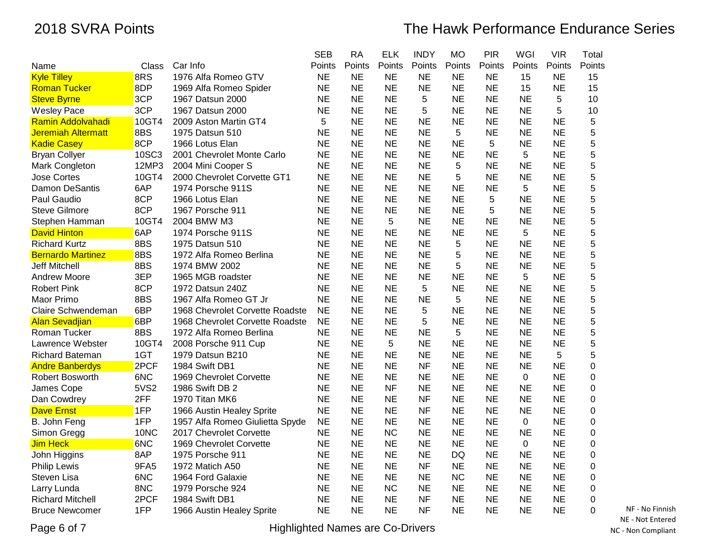|                          |       |                                 | <b>SEB</b> | <b>RA</b> | <b>ELK</b> | <b>INDY</b> | <b>MO</b> | <b>PIR</b> | WGI       | <b>VIR</b> | Total  |
|--------------------------|-------|---------------------------------|------------|-----------|------------|-------------|-----------|------------|-----------|------------|--------|
| Name                     | Class | Car Info                        | Points     | Points    | Points     | Points      | Points    | Points     | Points    | Points     | Points |
| <b>Kyle Tilley</b>       | 8RS   | 1976 Alfa Romeo GTV             | <b>NE</b>  | <b>NE</b> | <b>NE</b>  | <b>NE</b>   | <b>NE</b> | <b>NE</b>  | 15        | NE         | 15     |
| <b>Roman Tucker</b>      | 8DP   | 1969 Alfa Romeo Spider          | <b>NE</b>  | <b>NE</b> | NE         | <b>NE</b>   | <b>NE</b> | <b>NE</b>  | 15        | <b>NE</b>  | 15     |
| <b>Steve Byrne</b>       | 3CP   | 1967 Datsun 2000                | <b>NE</b>  | <b>NE</b> | <b>NE</b>  | 5           | <b>NE</b> | <b>NE</b>  | <b>NE</b> | 5          | 10     |
| <b>Wesley Pace</b>       | 3CP   | 1967 Datsun 2000                | <b>NE</b>  | <b>NE</b> | <b>NE</b>  | 5           | <b>NE</b> | <b>NE</b>  | <b>NE</b> | 5          | 10     |
| Ramin Addolvahadi        | 10GT4 | 2009 Aston Martin GT4           | 5          | <b>NE</b> | NE         | <b>NE</b>   | <b>NE</b> | <b>NE</b>  | <b>NE</b> | ΝE         | 5      |
| Jeremiah Altermatt       | 8BS   | 1975 Datsun 510                 | ΝE         | <b>NE</b> | NE         | <b>NE</b>   | 5         | <b>NE</b>  | <b>NE</b> | ΝE         | 5      |
| <b>Kadie Casey</b>       | 8CP   | 1966 Lotus Elan                 | <b>NE</b>  | <b>NE</b> | <b>NE</b>  | <b>NE</b>   | <b>NE</b> | 5          | <b>NE</b> | <b>NE</b>  | 5      |
| <b>Bryan Collyer</b>     | 10SC3 | 2001 Chevrolet Monte Carlo      | <b>NE</b>  | <b>NE</b> | <b>NE</b>  | <b>NE</b>   | <b>NE</b> | <b>NE</b>  | 5         | <b>NE</b>  | 5      |
| Mark Congleton           | 12MP3 | 2004 Mini Cooper S              | <b>NE</b>  | <b>NE</b> | <b>NE</b>  | <b>NE</b>   | 5         | <b>NE</b>  | <b>NE</b> | <b>NE</b>  | 5      |
| Jose Cortes              | 10GT4 | 2000 Chevrolet Corvette GT1     | <b>NE</b>  | <b>NE</b> | <b>NE</b>  | <b>NE</b>   | 5         | <b>NE</b>  | <b>NE</b> | <b>NE</b>  | 5      |
| Damon DeSantis           | 6AP   | 1974 Porsche 911S               | <b>NE</b>  | <b>NE</b> | <b>NE</b>  | <b>NE</b>   | <b>NE</b> | <b>NE</b>  | 5         | <b>NE</b>  | 5      |
| Paul Gaudio              | 8CP   | 1966 Lotus Elan                 | <b>NE</b>  | <b>NE</b> | <b>NE</b>  | <b>NE</b>   | <b>NE</b> | 5          | <b>NE</b> | <b>NE</b>  | 5      |
| <b>Steve Gilmore</b>     | 8CP   | 1967 Porsche 911                | <b>NE</b>  | <b>NE</b> | <b>NE</b>  | <b>NE</b>   | <b>NE</b> | 5          | <b>NE</b> | <b>NE</b>  | 5      |
| Stephen Hamman           | 10GT4 | 2004 BMW M3                     | <b>NE</b>  | <b>NE</b> | 5          | <b>NE</b>   | <b>NE</b> | <b>NE</b>  | <b>NE</b> | <b>NE</b>  | 5      |
| <b>David Hinton</b>      | 6AP   | 1974 Porsche 911S               | NE         | <b>NE</b> | <b>NE</b>  | <b>NE</b>   | NE        | NE         | 5         | ΝE         | 5      |
| <b>Richard Kurtz</b>     | 8BS   | 1975 Datsun 510                 | <b>NE</b>  | <b>NE</b> | <b>NE</b>  | <b>NE</b>   | 5         | <b>NE</b>  | <b>NE</b> | <b>NE</b>  | 5      |
| <b>Bernardo Martinez</b> | 8BS   | 1972 Alfa Romeo Berlina         | <b>NE</b>  | <b>NE</b> | <b>NE</b>  | <b>NE</b>   | 5         | <b>NE</b>  | <b>NE</b> | NE         | 5      |
| Jeff Mitchell            | 8BS   | 1974 BMW 2002                   | <b>NE</b>  | <b>NE</b> | <b>NE</b>  | <b>NE</b>   | 5         | <b>NE</b>  | <b>NE</b> | <b>NE</b>  | 5      |
| <b>Andrew Moore</b>      | 3EP   | 1965 MGB roadster               | NE         | <b>NE</b> | <b>NE</b>  | <b>NE</b>   | NE        | <b>NE</b>  | 5         | <b>NE</b>  | 5      |
| <b>Robert Pink</b>       | 8CP   | 1972 Datsun 240Z                | <b>NE</b>  | <b>NE</b> | <b>NE</b>  | 5           | <b>NE</b> | <b>NE</b>  | <b>NE</b> | <b>NE</b>  | 5      |
| Maor Primo               | 8BS   | 1967 Alfa Romeo GT Jr           | <b>NE</b>  | <b>NE</b> | <b>NE</b>  | <b>NE</b>   | 5         | <b>NE</b>  | <b>NE</b> | <b>NE</b>  | 5      |
| Claire Schwendeman       | 6BP   | 1968 Chevrolet Corvette Roadste | <b>NE</b>  | <b>NE</b> | <b>NE</b>  | 5           | <b>NE</b> | <b>NE</b>  | <b>NE</b> | <b>NE</b>  | 5      |
| <b>Alan Sevadjian</b>    | 6BP   | 1968 Chevrolet Corvette Roadste | <b>NE</b>  | <b>NE</b> | <b>NE</b>  | 5           | <b>NE</b> | <b>NE</b>  | <b>NE</b> | <b>NE</b>  | 5      |
| Roman Tucker             | 8BS   | 1972 Alfa Romeo Berlina         | <b>NE</b>  | <b>NE</b> | <b>NE</b>  | <b>NE</b>   | 5         | <b>NE</b>  | <b>NE</b> | ΝE         | 5      |
| Lawrence Webster         | 10GT4 | 2008 Porsche 911 Cup            | <b>NE</b>  | <b>NE</b> | 5          | <b>NE</b>   | <b>NE</b> | <b>NE</b>  | <b>NE</b> | <b>NE</b>  | 5      |
| <b>Richard Bateman</b>   | 1GT   | 1979 Datsun B210                | <b>NE</b>  | <b>NE</b> | <b>NE</b>  | <b>NE</b>   | <b>NE</b> | <b>NE</b>  | <b>NE</b> | 5          | 5      |
| <b>Andre Banberdys</b>   | 2PCF  | 1984 Swift DB1                  | <b>NE</b>  | <b>NE</b> | <b>NE</b>  | <b>NF</b>   | <b>NE</b> | <b>NE</b>  | <b>NE</b> | ΝE         | 0      |
| Robert Bosworth          | 6NC   | 1969 Chevrolet Corvette         | <b>NE</b>  | <b>NE</b> | NE         | <b>NE</b>   | NE        | NE         | 0         | ΝE         | 0      |
| James Cope               | 5VS2  | 1986 Swift DB 2                 | <b>NE</b>  | <b>NE</b> | <b>NF</b>  | <b>NE</b>   | <b>NE</b> | <b>NE</b>  | <b>NE</b> | <b>NE</b>  | 0      |
| Dan Cowdrey              | 2FF   | 1970 Titan MK6                  | <b>NE</b>  | <b>NE</b> | <b>NE</b>  | <b>NF</b>   | <b>NE</b> | <b>NE</b>  | <b>NE</b> | ΝE         | 0      |
| <b>Dave Ernst</b>        | 1FP   | 1966 Austin Healey Sprite       | <b>NE</b>  | <b>NE</b> | <b>NE</b>  | <b>NF</b>   | <b>NE</b> | <b>NE</b>  | <b>NE</b> | <b>NE</b>  | 0      |
| B. John Feng             | 1FP   | 1957 Alfa Romeo Giulietta Spyde | <b>NE</b>  | <b>NE</b> | <b>NE</b>  | <b>NE</b>   | <b>NE</b> | <b>NE</b>  | $\pmb{0}$ | <b>NE</b>  | 0      |
| Simon Gregg              | 10NC  | 2017 Chevrolet Corvette         | <b>NE</b>  | <b>NE</b> | <b>NC</b>  | <b>NE</b>   | <b>NE</b> | <b>NE</b>  | <b>NE</b> | <b>NE</b>  | 0      |
| Jim Heck                 | 6NC   | 1969 Chevrolet Corvette         | <b>NE</b>  | <b>NE</b> | <b>NE</b>  | <b>NE</b>   | <b>NE</b> | <b>NE</b>  | $\pmb{0}$ | <b>NE</b>  | 0      |
| John Higgins             | 8AP   | 1975 Porsche 911                | <b>NE</b>  | <b>NE</b> | <b>NE</b>  | <b>NE</b>   | <b>DQ</b> | <b>NE</b>  | <b>NE</b> | <b>NE</b>  | 0      |
| <b>Philip Lewis</b>      | 9FA5  | 1972 Matich A50                 | <b>NE</b>  | <b>NE</b> | <b>NE</b>  | <b>NF</b>   | <b>NE</b> | <b>NE</b>  | <b>NE</b> | <b>NE</b>  | 0      |
| Steven Lisa              | 6NC   | 1964 Ford Galaxie               | <b>NE</b>  | <b>NE</b> | <b>NE</b>  | <b>NE</b>   | <b>NC</b> | <b>NE</b>  | <b>NE</b> | ΝE         | 0      |
| Larry Lunda              | 8NC   | 1979 Porsche 924                | <b>NE</b>  | <b>NE</b> | <b>NC</b>  | <b>NE</b>   | <b>NE</b> | <b>NE</b>  | <b>NE</b> | <b>NE</b>  | 0      |
| <b>Richard Mitchell</b>  | 2PCF  | 1984 Swift DB1                  | <b>NE</b>  | <b>NE</b> | <b>NE</b>  | <b>NF</b>   | <b>NE</b> | <b>NE</b>  | <b>NE</b> | <b>NE</b>  | 0      |
| <b>Bruce Newcomer</b>    | 1FP   | 1966 Austin Healey Sprite       | NE         | <b>NE</b> | NE         | <b>NF</b>   | <b>NE</b> | <b>NE</b>  | <b>NE</b> | <b>NE</b>  | 0      |